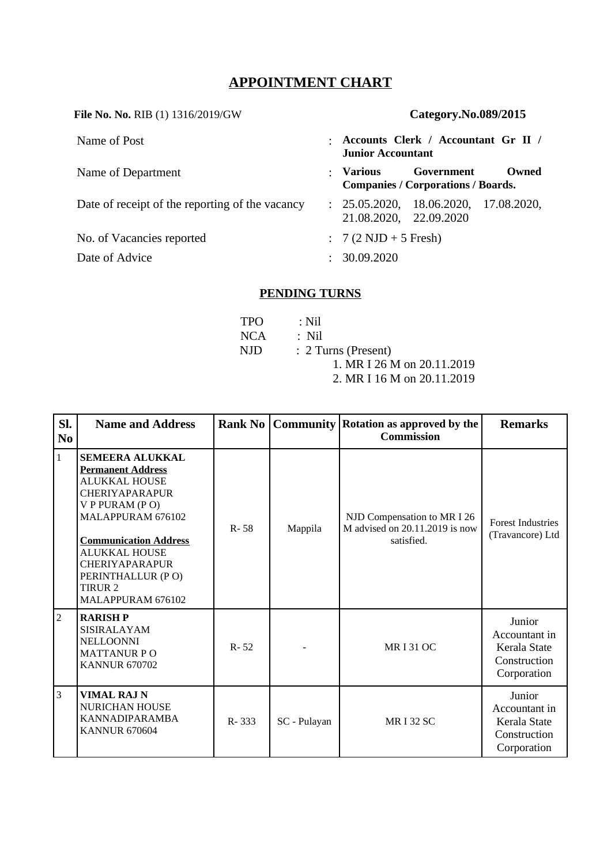# **APPOINTMENT CHART**

**File No. No.** RIB (1) 1316/2019/GW **Category.No.089/2015**

| Name of Post                                    | $\bullet$ | Accounts Clerk / Accountant Gr II /<br><b>Junior Accountant</b> |                                                         |       |
|-------------------------------------------------|-----------|-----------------------------------------------------------------|---------------------------------------------------------|-------|
| Name of Department                              | ÷         | Various                                                         | Government<br><b>Companies / Corporations / Boards.</b> | Owned |
| Date of receipt of the reporting of the vacancy |           | 21.08.2020, 22.09.2020                                          | : 25.05.2020, 18.06.2020, 17.08.2020,                   |       |
| No. of Vacancies reported                       |           | $: 7(2 \text{ NJD} + 5 \text{ Fresh})$                          |                                                         |       |
| Date of Advice                                  |           | 30.09.2020                                                      |                                                         |       |

# **PENDING TURNS**

| TPO. | : Nil                      |
|------|----------------------------|
| NCA  | : Nil                      |
| NJD. | : 2 Turns (Present)        |
|      | 1. MR I 26 M on 20.11.2019 |
|      | 2. MR I 16 M on 20.11.2019 |

| SI.<br>N <sub>0</sub> | <b>Name and Address</b>                                                                                                                                                                                                                                                                     | <b>Rank No</b> |              | <b>Community   Rotation as approved by the</b><br><b>Commission</b>         | <b>Remarks</b>                                                         |
|-----------------------|---------------------------------------------------------------------------------------------------------------------------------------------------------------------------------------------------------------------------------------------------------------------------------------------|----------------|--------------|-----------------------------------------------------------------------------|------------------------------------------------------------------------|
| $\mathbf{1}$          | <b>SEMEERA ALUKKAL</b><br><b>Permanent Address</b><br><b>ALUKKAL HOUSE</b><br><b>CHERIYAPARAPUR</b><br>V P PURAM (PO)<br>MALAPPURAM 676102<br><b>Communication Address</b><br><b>ALUKKAL HOUSE</b><br><b>CHERIYAPARAPUR</b><br>PERINTHALLUR (PO)<br>TIRUR <sub>2</sub><br>MALAPPURAM 676102 | $R - 58$       | Mappila      | NJD Compensation to MR I 26<br>M advised on 20.11.2019 is now<br>satisfied. | <b>Forest Industries</b><br>(Travancore) Ltd                           |
| $\overline{2}$        | <b>RARISHP</b><br><b>SISIRALAYAM</b><br><b>NELLOONNI</b><br><b>MATTANUR PO</b><br><b>KANNUR 670702</b>                                                                                                                                                                                      | $R - 52$       |              | <b>MRI31 OC</b>                                                             | Junior<br>Accountant in<br>Kerala State<br>Construction<br>Corporation |
| $\overline{3}$        | <b>VIMAL RAJ N</b><br><b>NURICHAN HOUSE</b><br>KANNADIPARAMBA<br><b>KANNUR 670604</b>                                                                                                                                                                                                       | $R - 333$      | SC - Pulayan | <b>MR I 32 SC</b>                                                           | Junior<br>Accountant in<br>Kerala State<br>Construction<br>Corporation |